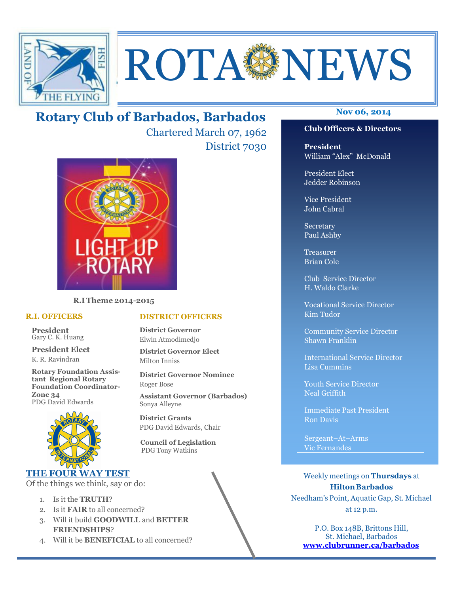

# **ROTA SENEWS**

# **Nov 06, 2014 Rotary Club of Barbados, Barbados**

Chartered March 07, 1962 District 7030



**R.I Theme 2014-2015** 

#### **R.I. OFFICERS**

**President** Gary C. K. Huang

**President Elect** K. R. Ravindran

**Rotary Foundation Assistant Regional Rotary Foundation Coordinator-Zone 34**  PDG David Edwards



#### **THE FOUR WAY TEST**

Of the things we think, say or do:

- 1. Is it the **TRUTH**?
- 2. Is it **FAIR** to all concerned?
- 3. Will it build **GOODWILL** and **BETTER FRIENDSHIPS**?
- 4. Will it be **BENEFICIAL** to all concerned?

# **President**

William "Alex" McDonald

**Club Officers & Directors**

President Elect Jedder Robinson

Vice President John Cabral

Secretary Paul Ashby

Treasurer Brian Cole

Club Service Director H. Waldo Clarke

Vocational Service Director Kim Tudor

Community Service Director Shawn Franklin

International Service Director Lisa Cummins

Youth Service Director Neal Griffith

Immediate Past President Ron Davis

Sergeant–At–Arms Vic Fernandes

Weekly meetings on **Thursdays** at **Hilton Barbados** Needham's Point, Aquatic Gap, St. Michael at 12 p.m.

P.O. Box 148B, Brittons Hill, St. Michael, Barbados **www.clubrunner.ca/barbados**

#### **DISTRICT OFFICERS**

**District Governor** Elwin Atmodimedjo

**District Governor Elect** Milton Inniss

**District Governor Nominee**  Roger Bose

**Assistant Governor (Barbados)** Sonya Alleyne

**District Grants**  PDG David Edwards, Chair

 **Council of Legislation**  PDG Tony Watkins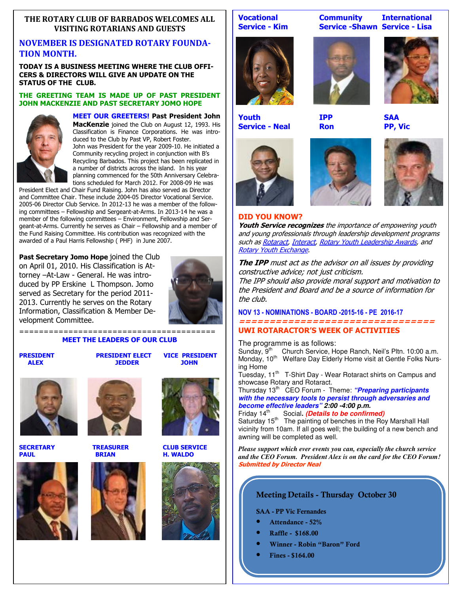#### **THE ROTARY CLUB OF BARBADOS WELCOMES ALL VISITING ROTARIANS AND GUESTS**

## **NOVEMBER IS DESIGNATED ROTARY FOUNDA-TION MONTH.**

**TODAY IS A BUSINESS MEETING WHERE THE CLUB OFFI-CERS & DIRECTORS WILL GIVE AN UPDATE ON THE STATUS OF THE CLUB.** 

#### **THE GREETING TEAM IS MADE UP OF PAST PRESIDENT JOHN MACKENZIE AND PAST SECRETARY JOMO HOPE**



**MEET OUR GREETERS! Past President John MacKenzie** joined the Club on August 12, 1993. His Classification is Finance Corporations. He was introduced to the Club by Past VP, Robert Foster. John was President for the year 2009-10. He initiated a Community recycling project in conjunction with B's Recycling Barbados. This project has been replicated in a number of districts across the island. In his year planning commenced for the 50th Anniversary Celebrations scheduled for March 2012. For 2008-09 He was

President Elect and Chair Fund Raising. John has also served as Director and Committee Chair. These include 2004-05 Director Vocational Service. 2005-06 Director Club Service. In 2012-13 he was a member of the following committees – Fellowship and Sergeant-at-Arms. In 2013-14 he was a member of the following committees - Environment, Fellowship and Sergeant-at-Arms. Currently he serves as Chair – Fellowship and a member of the Fund Raising Committee. His contribution was recognized with the awarded of a Paul Harris Fellowship ( PHF) in June 2007.

**Past Secretary Jomo Hope** joined the Club on April 01, 2010. His Classification is Attorney –At-Law - General. He was introduced by PP Erskine L Thompson. Jomo served as Secretary for the period 2011- 2013. Currently he serves on the Rotary Information, Classification & Member Development Committee.



======================================== **MEET THE LEADERS OF OUR CLUB** 

**PRESIDENT PRESIDENT PRESIDENT ALEX PRESIDENT ALEX JEDDER** 













**SECRETARY TREASURER CLUB SERVICE H. WALDO** 





**Youth IPP SAA Service - Neal Ron PP, Vic** 













#### **DID YOU KNOW?**

**Youth Service recognizes** the importance of empowering youth and young professionals through leadership development programs such as Rotaract, Interact, Rotary Youth Leadership Awards, and Rotary Youth Exchange.

**The IPP** must act as the advisor on all issues by providing constructive advice; not just criticism.

The IPP should also provide moral support and motivation to the President and Board and be a source of information for the club.

**NOV 13 - NOMINATIONS - BOARD -2015-16 - PE 2016-17 ================================** 

#### **UWI ROTARACTOR'S WEEK OF ACTIVITIES**

The programme is as follows:

Sunday, 9<sup>th</sup> Church Service, Hope Ranch, Neil's Pltn. 10:00 a.m. Monday, 10<sup>th</sup> Welfare Day Elderly Home visit at Gentle Folks Nursing Home

Tuesday, 11<sup>th</sup> T-Shirt Day - Wear Rotaract shirts on Campus and showcase Rotary and Rotaract.

Thursday 13<sup>th</sup> CEO Forum - Theme: "**Preparing participants** *with the necessary tools to persist through adversaries and become effective leaders" 2:00 -4:00 p.m.*

Social. *(Details to be confirmed)* 

Saturday 15<sup>th</sup> The painting of benches in the Roy Marshall Hall vicinity from 10am. If all goes well; the building of a new bench and awning will be completed as well.

*Please support which ever events you can, especially the church service and the CEO Forum. President Alex is on the card for the CEO Forum!*  **Submitted by Director Neal** 

#### **Meeting Details - Thursday October 30**

**SAA - PP Vic Fernandes** 

- **Attendance 52%**
- **Raffle \$168.00**
- **Winner Robin "Baron" Ford**
	- **Fines \$164.00**

**Vocational Community International Service - Kim Service - Shawn Service - Lisa**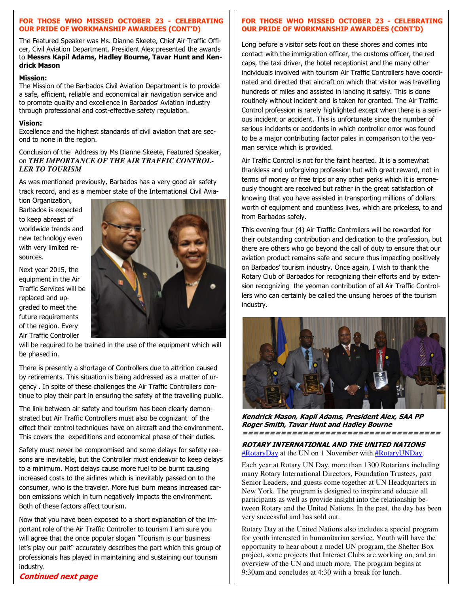#### **FOR THOSE WHO MISSED OCTOBER 23 - CELEBRATING OUR PRIDE OF WORKMANSHIP AWARDEES (CONT'D)**

The Featured Speaker was Ms. Dianne Skeete, Chief Air Traffic Officer, Civil Aviation Department. President Alex presented the awards to **Messrs Kapil Adams, Hadley Bourne, Tavar Hunt and Kendrick Mason**

#### **Mission:**

The Mission of the Barbados Civil Aviation Department is to provide a safe, efficient, reliable and economical air navigation service and to promote quality and excellence in Barbados' Aviation industry through professional and cost-effective safety regulation.

#### **Vision:**

Excellence and the highest standards of civil aviation that are second to none in the region.

Conclusion of the Address by Ms Dianne Skeete, Featured Speaker, on *THE IMPORTANCE OF THE AIR TRAFFIC CONTROL-LER TO TOURISM* 

As was mentioned previously, Barbados has a very good air safety track record, and as a member state of the International Civil Avia-

tion Organization, Barbados is expected to keep abreast of worldwide trends and new technology even with very limited resources.

Next year 2015, the equipment in the Air Traffic Services will be replaced and upgraded to meet the future requirements of the region. Every Air Traffic Controller



will be required to be trained in the use of the equipment which will be phased in.

There is presently a shortage of Controllers due to attrition caused by retirements. This situation is being addressed as a matter of urgency . In spite of these challenges the Air Traffic Controllers continue to play their part in ensuring the safety of the travelling public.

The link between air safety and tourism has been clearly demonstrated but Air Traffic Controllers must also be cognizant of the effect their control techniques have on aircraft and the environment. This covers the expeditions and economical phase of their duties.

Safety must never be compromised and some delays for safety reasons are inevitable, but the Controller must endeavor to keep delays to a minimum. Most delays cause more fuel to be burnt causing increased costs to the airlines which is inevitably passed on to the consumer, who is the traveler. More fuel burn means increased carbon emissions which in turn negatively impacts the environment. Both of these factors affect tourism.

Now that you have been exposed to a short explanation of the important role of the Air Traffic Controller to tourism I am sure you will agree that the once popular slogan "Tourism is our business let's play our part" accurately describes the part which this group of professionals has played in maintaining and sustaining our tourism

#### industry.

**Continued next page** 

#### **FOR THOSE WHO MISSED OCTOBER 23 - CELEBRATING OUR PRIDE OF WORKMANSHIP AWARDEES (CONT'D)**

Long before a visitor sets foot on these shores and comes into contact with the immigration officer, the customs officer, the red caps, the taxi driver, the hotel receptionist and the many other individuals involved with tourism Air Traffic Controllers have coordinated and directed that aircraft on which that visitor was travelling hundreds of miles and assisted in landing it safely. This is done routinely without incident and is taken for granted. The Air Traffic Control profession is rarely highlighted except when there is a serious incident or accident. This is unfortunate since the number of serious incidents or accidents in which controller error was found to be a major contributing factor pales in comparison to the yeoman service which is provided.

Air Traffic Control is not for the faint hearted. It is a somewhat thankless and unforgiving profession but with great reward, not in terms of money or free trips or any other perks which it is erroneously thought are received but rather in the great satisfaction of knowing that you have assisted in transporting millions of dollars worth of equipment and countless lives, which are priceless, to and from Barbados safely.

This evening four (4) Air Traffic Controllers will be rewarded for their outstanding contribution and dedication to the profession, but there are others who go beyond the call of duty to ensure that our aviation product remains safe and secure thus impacting positively on Barbados' tourism industry. Once again, I wish to thank the Rotary Club of Barbados for recognizing their efforts and by extension recognizing the yeoman contribution of all Air Traffic Controllers who can certainly be called the unsung heroes of the tourism industry.



**Kendrick Mason, Kapil Adams, President Alex, SAA PP Roger Smith, Tavar Hunt and Hadley Bourne ====================================** 

**ROTARY INTERNATIONAL AND THE UNITED NATIONS**  #RotaryDay at the UN on 1 November with #RotaryUNDay.

Each year at Rotary UN Day, more than 1300 Rotarians including many Rotary International Directors, Foundation Trustees, past Senior Leaders, and guests come together at UN Headquarters in New York. The program is designed to inspire and educate all participants as well as provide insight into the relationship between Rotary and the United Nations. In the past, the day has been very successful and has sold out.

Rotary Day at the United Nations also includes a special program for youth interested in humanitarian service. Youth will have the opportunity to hear about a model UN program, the Shelter Box project, some projects that Interact Clubs are working on, and an overview of the UN and much more. The program begins at 9:30am and concludes at 4:30 with a break for lunch.